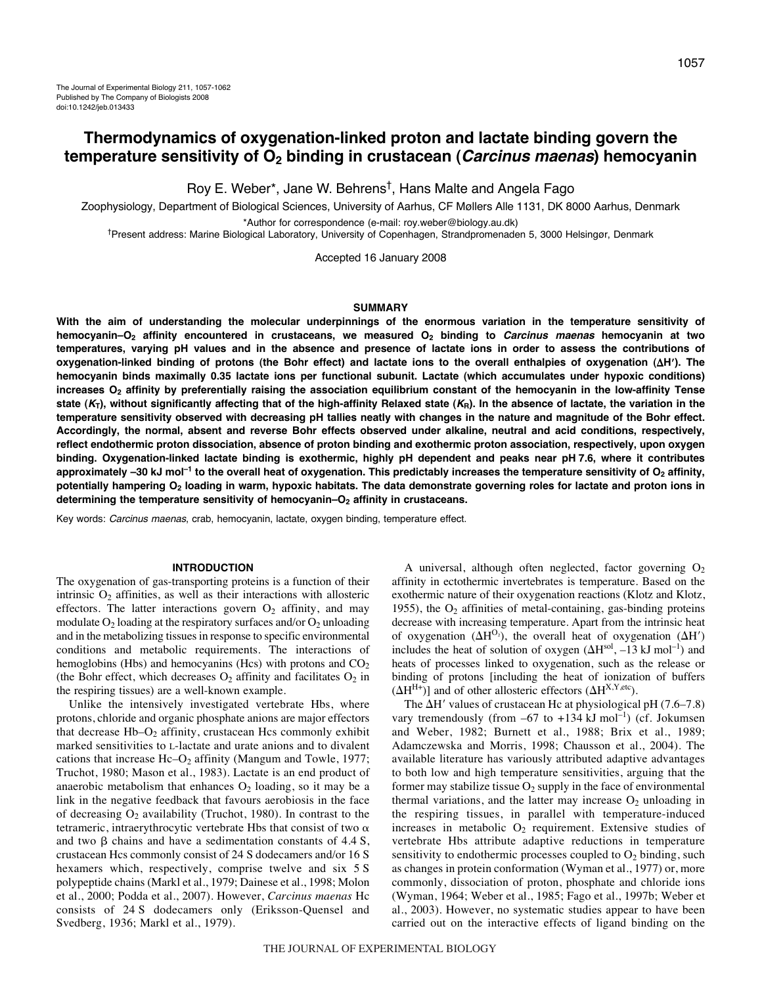# **Thermodynamics of oxygenation-linked proton and lactate binding govern the temperature sensitivity of O2 binding in crustacean (Carcinus maenas) hemocyanin**

Roy E. Weber\*, Jane W. Behrens†, Hans Malte and Angela Fago

Zoophysiology, Department of Biological Sciences, University of Aarhus, CF Møllers Alle 1131, DK 8000 Aarhus, Denmark

\*Author for correspondence (e-mail: roy.weber@biology.au.dk)

†Present address: Marine Biological Laboratory, University of Copenhagen, Strandpromenaden 5, 3000 Helsingør, Denmark

Accepted 16 January 2008

#### **SUMMARY**

**With the aim of understanding the molecular underpinnings of the enormous variation in the temperature sensitivity of hemocyanin–O2 affinity encountered in crustaceans, we measured O2 binding to Carcinus maenas hemocyanin at two temperatures, varying pH values and in the absence and presence of lactate ions in order to assess the contributions of oxygenation-linked binding of protons (the Bohr effect) and lactate ions to the overall enthalpies of oxygenation (H). The hemocyanin binds maximally 0.35 lactate ions per functional subunit. Lactate (which accumulates under hypoxic conditions)** increases O<sub>2</sub> affinity by preferentially raising the association equilibrium constant of the hemocyanin in the low-affinity Tense state  $(K_T)$ , without significantly affecting that of the high-affinity Relaxed state  $(K_R)$ . In the absence of lactate, the variation in the **temperature sensitivity observed with decreasing pH tallies neatly with changes in the nature and magnitude of the Bohr effect. Accordingly, the normal, absent and reverse Bohr effects observed under alkaline, neutral and acid conditions, respectively, reflect endothermic proton dissociation, absence of proton binding and exothermic proton association, respectively, upon oxygen** binding. Oxygenation-linked lactate binding is exothermic, highly pH dependent and peaks near pH 7.6, where it contributes approximately -30 kJ mol<sup>-1</sup> to the overall heat of oxygenation. This predictably increases the temperature sensitivity of O<sub>2</sub> affinity, potentially hampering O<sub>2</sub> loading in warm, hypoxic habitats. The data demonstrate governing roles for lactate and proton ions in determining the temperature sensitivity of hemocyanin–O<sub>2</sub> affinity in crustaceans.

Key words: Carcinus maenas, crab, hemocyanin, lactate, oxygen binding, temperature effect.

#### **INTRODUCTION**

The oxygenation of gas-transporting proteins is a function of their intrinsic  $O_2$  affinities, as well as their interactions with allosteric effectors. The latter interactions govern  $O_2$  affinity, and may modulate  $O_2$  loading at the respiratory surfaces and/or  $O_2$  unloading and in the metabolizing tissues in response to specific environmental conditions and metabolic requirements. The interactions of hemoglobins (Hbs) and hemocyanins (Hcs) with protons and  $CO<sub>2</sub>$ (the Bohr effect, which decreases  $O_2$  affinity and facilitates  $O_2$  in the respiring tissues) are a well-known example.

Unlike the intensively investigated vertebrate Hbs, where protons, chloride and organic phosphate anions are major effectors that decrease  $Hb-O_2$  affinity, crustacean Hcs commonly exhibit marked sensitivities to L-lactate and urate anions and to divalent cations that increase  $He-O<sub>2</sub>$  affinity (Mangum and Towle, 1977; Truchot, 1980; Mason et al., 1983). Lactate is an end product of anaerobic metabolism that enhances  $O_2$  loading, so it may be a link in the negative feedback that favours aerobiosis in the face of decreasing  $O_2$  availability (Truchot, 1980). In contrast to the tetrameric, intraerythrocytic vertebrate Hbs that consist of two  $\alpha$ and two  $\beta$  chains and have a sedimentation constants of 4.4 S, crustacean Hcs commonly consist of 24 S dodecamers and/or 16 S hexamers which, respectively, comprise twelve and six 5 S polypeptide chains (Markl et al., 1979; Dainese et al., 1998; Molon et al., 2000; Podda et al., 2007). However, *Carcinus maenas* Hc consists of 24 S dodecamers only (Eriksson-Quensel and Svedberg, 1936; Markl et al., 1979).

A universal, although often neglected, factor governing  $O<sub>2</sub>$ affinity in ectothermic invertebrates is temperature. Based on the exothermic nature of their oxygenation reactions (Klotz and Klotz, 1955), the  $O<sub>2</sub>$  affinities of metal-containing, gas-binding proteins decrease with increasing temperature. Apart from the intrinsic heat of oxygenation  $(\Delta H^{O_2})$ , the overall heat of oxygenation  $(\Delta H')$ includes the heat of solution of oxygen  $(\Delta H^{\text{sol}}, -13 \text{ kJ} \text{ mol}^{-1})$  and heats of processes linked to oxygenation, such as the release or binding of protons [including the heat of ionization of buffers  $(\Delta H^{H+})$ ] and of other allosteric effectors  $(\Delta H^{X,Y,\text{etc}})$ .

The  $\Delta$ H' values of crustacean Hc at physiological pH (7.6–7.8) vary tremendously (from  $-67$  to  $+134 \text{ kJ mol}^{-1}$ ) (cf. Jokumsen and Weber, 1982; Burnett et al., 1988; Brix et al., 1989; Adamczewska and Morris, 1998; Chausson et al., 2004). The available literature has variously attributed adaptive advantages to both low and high temperature sensitivities, arguing that the former may stabilize tissue  $O_2$  supply in the face of environmental thermal variations, and the latter may increase  $O_2$  unloading in the respiring tissues, in parallel with temperature-induced increases in metabolic  $O_2$  requirement. Extensive studies of vertebrate Hbs attribute adaptive reductions in temperature sensitivity to endothermic processes coupled to  $O_2$  binding, such as changes in protein conformation (Wyman et al., 1977) or, more commonly, dissociation of proton, phosphate and chloride ions (Wyman, 1964; Weber et al., 1985; Fago et al., 1997b; Weber et al., 2003). However, no systematic studies appear to have been carried out on the interactive effects of ligand binding on the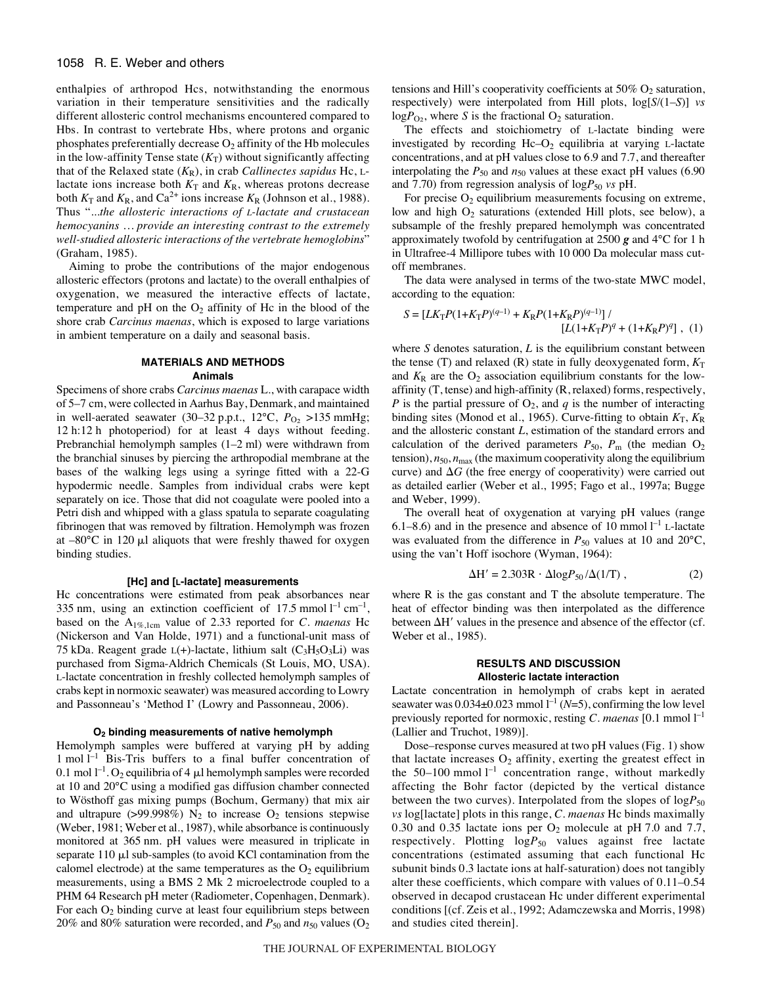#### 1058 R. E. Weber and others

enthalpies of arthropod Hcs, notwithstanding the enormous variation in their temperature sensitivities and the radically different allosteric control mechanisms encountered compared to Hbs. In contrast to vertebrate Hbs, where protons and organic phosphates preferentially decrease  $O_2$  affinity of the Hb molecules in the low-affinity Tense state  $(K_T)$  without significantly affecting that of the Relaxed state (*K*R), in crab *Callinectes sapidus* Hc, Llactate ions increase both  $K_T$  and  $K_R$ , whereas protons decrease both  $K_T$  and  $K_R$ , and Ca<sup>2+</sup> ions increase  $K_R$  (Johnson et al., 1988). Thus "...*the allosteric interactions of L-lactate and crustacean hemocyanins … provide an interesting contrast to the extremely well-studied allosteric interactions of the vertebrate hemoglobins*" (Graham, 1985).

Aiming to probe the contributions of the major endogenous allosteric effectors (protons and lactate) to the overall enthalpies of oxygenation, we measured the interactive effects of lactate, temperature and  $pH$  on the  $O_2$  affinity of Hc in the blood of the shore crab *Carcinus maenas*, which is exposed to large variations in ambient temperature on a daily and seasonal basis.

#### **MATERIALS AND METHODS Animals**

Specimens of shore crabs *Carcinus maenas* L., with carapace width of 5–7 cm, were collected in Aarhus Bay, Denmark, and maintained in well-aerated seawater (30–32 p.p.t.,  $12^{\circ}$ C,  $P_{O_2}$  >135 mmHg; 12 h:12 h photoperiod) for at least 4 days without feeding. Prebranchial hemolymph samples  $(1-2ml)$  were withdrawn from the branchial sinuses by piercing the arthropodial membrane at the bases of the walking legs using a syringe fitted with a 22-G hypodermic needle. Samples from individual crabs were kept separately on ice. Those that did not coagulate were pooled into a Petri dish and whipped with a glass spatula to separate coagulating fibrinogen that was removed by filtration. Hemolymph was frozen at  $-80^{\circ}$ C in 120  $\mu$ l aliquots that were freshly thawed for oxygen binding studies.

#### **[Hc] and [L-lactate] measurements**

Hc concentrations were estimated from peak absorbances near 335 nm, using an extinction coefficient of 17.5 mmol  $l^{-1}$  cm<sup>-1</sup>, based on the A1%,1cm value of 2.33 reported for *C. maenas* Hc (Nickerson and Van Holde, 1971) and a functional-unit mass of 75 kDa. Reagent grade  $L(+)$ -lactate, lithium salt  $(C_3H_5O_3Li)$  was purchased from Sigma-Aldrich Chemicals (St Louis, MO, USA). L-lactate concentration in freshly collected hemolymph samples of crabs kept in normoxic seawater) was measured according to Lowry and Passonneau's 'Method I' (Lowry and Passonneau, 2006).

#### **O2 binding measurements of native hemolymph**

Hemolymph samples were buffered at varying pH by adding  $1$  mol  $I^{-1}$  Bis-Tris buffers to a final buffer concentration of 0.1 mol  $l^{-1}$ . O<sub>2</sub> equilibria of 4  $\mu$ l hemolymph samples were recorded at 10 and 20°C using a modified gas diffusion chamber connected to Wösthoff gas mixing pumps (Bochum, Germany) that mix air and ultrapure ( $>99.998\%$ ) N<sub>2</sub> to increase O<sub>2</sub> tensions stepwise (Weber, 1981; Weber et al., 1987), while absorbance is continuously monitored at 365 nm. pH values were measured in triplicate in separate  $110 \mu$ l sub-samples (to avoid KCl contamination from the calomel electrode) at the same temperatures as the  $O<sub>2</sub>$  equilibrium measurements, using a BMS 2 Mk 2 microelectrode coupled to a PHM 64 Research pH meter (Radiometer, Copenhagen, Denmark). For each  $O_2$  binding curve at least four equilibrium steps between 20% and 80% saturation were recorded, and  $P_{50}$  and  $n_{50}$  values (O<sub>2</sub>) tensions and Hill's cooperativity coefficients at  $50\%$  O<sub>2</sub> saturation, respectively) were interpolated from Hill plots, log[*S*/(1–*S*)] *vs*  $logP_{O_2}$ , where *S* is the fractional  $O_2$  saturation.

The effects and stoichiometry of L-lactate binding were investigated by recording  $He-O<sub>2</sub>$  equilibria at varying L-lactate concentrations, and at pH values close to 6.9 and 7.7, and thereafter interpolating the  $P_{50}$  and  $n_{50}$  values at these exact pH values (6.90) and 7.70) from regression analysis of  $logP_{50}$  *vs* pH.

For precise  $O_2$  equilibrium measurements focusing on extreme, low and high O<sub>2</sub> saturations (extended Hill plots, see below), a subsample of the freshly prepared hemolymph was concentrated approximately twofold by centrifugation at 2500  $g$  and 4 $\degree$ C for 1 h in Ultrafree-4 Millipore tubes with 10 000 Da molecular mass cutoff membranes.

The data were analysed in terms of the two-state MWC model, according to the equation:

$$
S = \left[ LK_{\rm T}P(1+K_{\rm T}P)^{(q-1)} + K_{\rm R}P(1+K_{\rm R}P)^{(q-1)} \right]/\left[ L(1+K_{\rm T}P)^{q} + (1+K_{\rm R}P)^{q} \right], (1)
$$

where  $S$  denotes saturation,  $L$  is the equilibrium constant between the tense (T) and relaxed (R) state in fully deoxygenated form,  $K_T$ and  $K_R$  are the  $O_2$  association equilibrium constants for the lowaffinity (T, tense) and high-affinity (R, relaxed) forms, respectively, *P* is the partial pressure of  $O_2$ , and *q* is the number of interacting binding sites (Monod et al., 1965). Curve-fitting to obtain  $K_T$ ,  $K_R$ and the allosteric constant *L*, estimation of the standard errors and calculation of the derived parameters  $P_{50}$ ,  $P_m$  (the median  $O_2$ tension),  $n_{50}$ ,  $n_{\text{max}}$  (the maximum cooperativity along the equilibrium curve) and  $\Delta G$  (the free energy of cooperativity) were carried out as detailed earlier (Weber et al., 1995; Fago et al., 1997a; Bugge and Weber, 1999).

The overall heat of oxygenation at varying pH values (range 6.1–8.6) and in the presence and absence of 10 mmol  $l^{-1}$  L-lactate was evaluated from the difference in  $P_{50}$  values at 10 and 20°C, using the van't Hoff isochore (Wyman, 1964):

$$
\Delta H' = 2.303R \cdot \Delta \log P_{50} / \Delta (1/T) , \qquad (2)
$$

where R is the gas constant and T the absolute temperature. The heat of effector binding was then interpolated as the difference between  $\Delta H'$  values in the presence and absence of the effector (cf. Weber et al., 1985).

#### **RESULTS AND DISCUSSION Allosteric lactate interaction**

Lactate concentration in hemolymph of crabs kept in aerated seawater was  $0.034 \pm 0.023$  mmol  $l^{-1}$  (*N*=5), confirming the low level previously reported for normoxic, resting *C. maenas* [0.1 mmol  $l^{-1}$ (Lallier and Truchot, 1989)].

Dose–response curves measured at two pH values (Fig. 1) show that lactate increases  $O_2$  affinity, exerting the greatest effect in the 50–100 mmol  $l^{-1}$  concentration range, without markedly affecting the Bohr factor (depicted by the vertical distance between the two curves). Interpolated from the slopes of  $log P_{50}$ *vs* log[lactate] plots in this range, *C. maenas* Hc binds maximally 0.30 and 0.35 lactate ions per  $O_2$  molecule at pH 7.0 and 7.7, respectively. Plotting logP<sub>50</sub> values against free lactate concentrations (estimated assuming that each functional Hc subunit binds 0.3 lactate ions at half-saturation) does not tangibly alter these coefficients, which compare with values of 0.11–0.54 observed in decapod crustacean Hc under different experimental conditions [(cf. Zeis et al., 1992; Adamczewska and Morris, 1998) and studies cited therein].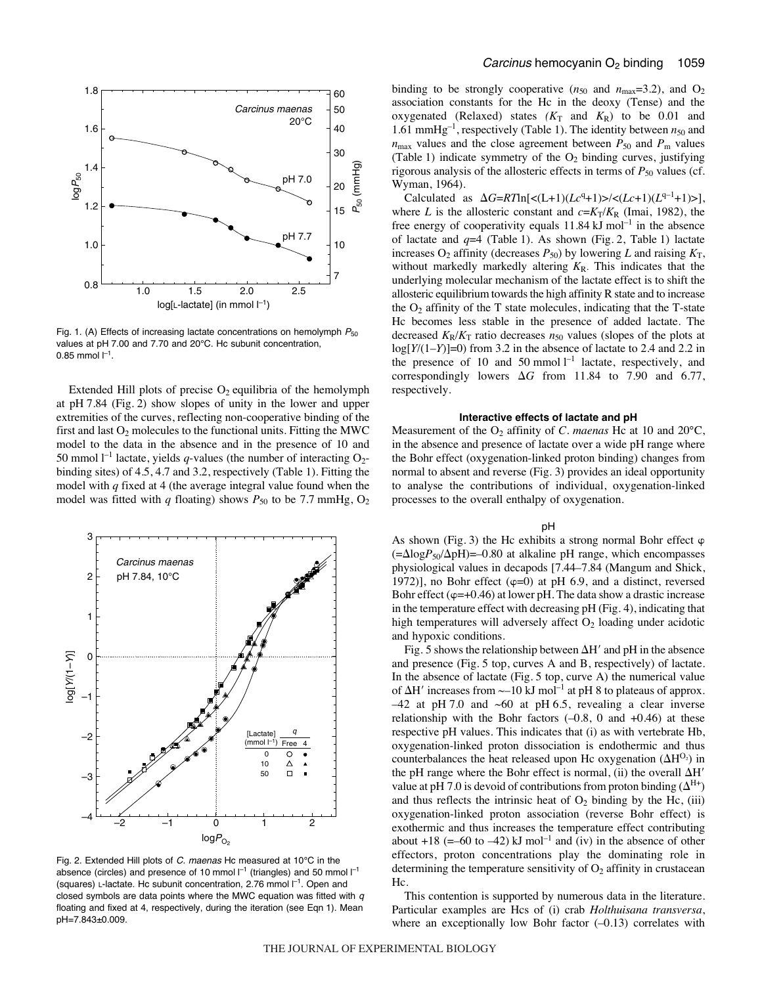

Fig. 1. (A) Effects of increasing lactate concentrations on hemolymph  $P_{50}$ values at pH 7.00 and 7.70 and 20°C. Hc subunit concentration, 0.85 mmol  $I^{-1}$ .

Extended Hill plots of precise  $O_2$  equilibria of the hemolymph at  $pH7.84$  (Fig. 2) show slopes of unity in the lower and upper extremities of the curves, reflecting non-cooperative binding of the first and last  $O_2$  molecules to the functional units. Fitting the MWC model to the data in the absence and in the presence of 10 and 50 mmol  $l^{-1}$  lactate, yields *q*-values (the number of interacting O<sub>2</sub>binding sites) of 4.5, 4.7 and 3.2, respectively (Table 1). Fitting the model with *q* fixed at 4 (the average integral value found when the model was fitted with  $q$  floating) shows  $P_{50}$  to be 7.7 mmHg,  $O_2$ 



Fig. 2. Extended Hill plots of C. maenas Hc measured at 10 $^{\circ}$ C in the absence (circles) and presence of 10 mmol  $I^{-1}$  (triangles) and 50 mmol  $I^{-1}$ (squares) L-lactate. Hc subunit concentration, 2.76 mmol  $\Gamma^1$ . Open and closed symbols are data points where the MWC equation was fitted with  $q$ floating and fixed at 4, respectively, during the iteration (see Eqn 1). Mean pH=7.843±0.009.

binding to be strongly cooperative  $(n_{50}$  and  $n_{\text{max}}=3.2)$ , and O<sub>2</sub> association constants for the Hc in the deoxy (Tense) and the oxygenated (Relaxed) states  $(K_T$  and  $K_R$ ) to be 0.01 and 1.61 mmHg<sup>-1</sup>, respectively (Table 1). The identity between  $n_{50}$  and  $n_{\text{max}}$  values and the close agreement between  $P_{50}$  and  $P_{\text{m}}$  values (Table 1) indicate symmetry of the  $O_2$  binding curves, justifying rigorous analysis of the allosteric effects in terms of  $P_{50}$  values (cf. Wyman, 1964).

Calculated as  $\Delta G = RT \ln[\langle (L+1)(Lc^{q}+1)\rangle] \langle (Lc+1)(L^{q-1}+1)\rangle],$ where *L* is the allosteric constant and  $c = K_T/K_R$  (Imai, 1982), the free energy of cooperativity equals  $11.84 \text{ kJ mol}^{-1}$  in the absence of lactate and  $q=4$  (Table 1). As shown (Fig. 2, Table 1) lactate increases  $O_2$  affinity (decreases  $P_{50}$ ) by lowering *L* and raising  $K_T$ , without markedly markedly altering  $K_R$ . This indicates that the underlying molecular mechanism of the lactate effect is to shift the allosteric equilibrium towards the high affinity R state and to increase the  $O_2$  affinity of the T state molecules, indicating that the T-state Hc becomes less stable in the presence of added lactate. The decreased  $K_R/K_T$  ratio decreases  $n_{50}$  values (slopes of the plots at log[*Y*/(1–*Y*)]=0) from 3.2 in the absence of lactate to 2.4 and 2.2 in the presence of 10 and 50 mmol  $l^{-1}$  lactate, respectively, and correspondingly lowers  $\Delta G$  from 11.84 to 7.90 and 6.77, respectively.

## **Interactive effects of lactate and pH**

Measurement of the O<sub>2</sub> affinity of *C. maenas* Hc at 10 and 20°C, in the absence and presence of lactate over a wide pH range where the Bohr effect (oxygenation-linked proton binding) changes from normal to absent and reverse (Fig. 3) provides an ideal opportunity to analyse the contributions of individual, oxygenation-linked processes to the overall enthalpy of oxygenation.

#### pH

As shown (Fig. 3) the Hc exhibits a strong normal Bohr effect  $\varphi$  $(=\Delta \log P_{50}/\Delta pH)$ =–0.80 at alkaline pH range, which encompasses physiological values in decapods [7.44–7.84 (Mangum and Shick, 1972)], no Bohr effect  $(\varphi=0)$  at pH 6.9, and a distinct, reversed Bohr effect ( $\varphi$ =+0.46) at lower pH. The data show a drastic increase in the temperature effect with decreasing pH (Fig. 4), indicating that high temperatures will adversely affect  $O<sub>2</sub>$  loading under acidotic and hypoxic conditions.

Fig. 5 shows the relationship between  $\Delta H'$  and pH in the absence and presence (Fig.  $5$  top, curves A and B, respectively) of lactate. In the absence of lactate (Fig. 5 top, curve A) the numerical value of  $\Delta H'$  increases from  $\sim$ –10 kJ mol<sup>–1</sup> at pH 8 to plateaus of approx.  $-42$  at pH 7.0 and  $-60$  at pH 6.5, revealing a clear inverse relationship with the Bohr factors  $(-0.8, 0 \text{ and } +0.46)$  at these respective pH values. This indicates that (i) as with vertebrate Hb, oxygenation-linked proton dissociation is endothermic and thus counterbalances the heat released upon Hc oxygenation  $(\Delta H^{O_2})$  in the pH range where the Bohr effect is normal, (ii) the overall  $\Delta H'$ value at pH 7.0 is devoid of contributions from proton binding  $(\Delta^{H+})$ and thus reflects the intrinsic heat of  $O_2$  binding by the Hc, (iii) oxygenation-linked proton association (reverse Bohr effect) is exothermic and thus increases the temperature effect contributing about +18 (=–60 to –42) kJ mol<sup>-1</sup> and (iv) in the absence of other effectors, proton concentrations play the dominating role in determining the temperature sensitivity of  $O<sub>2</sub>$  affinity in crustacean Hc.

This contention is supported by numerous data in the literature. Particular examples are Hcs of (i) crab *Holthuisana transversa*, where an exceptionally low Bohr factor  $(-0.13)$  correlates with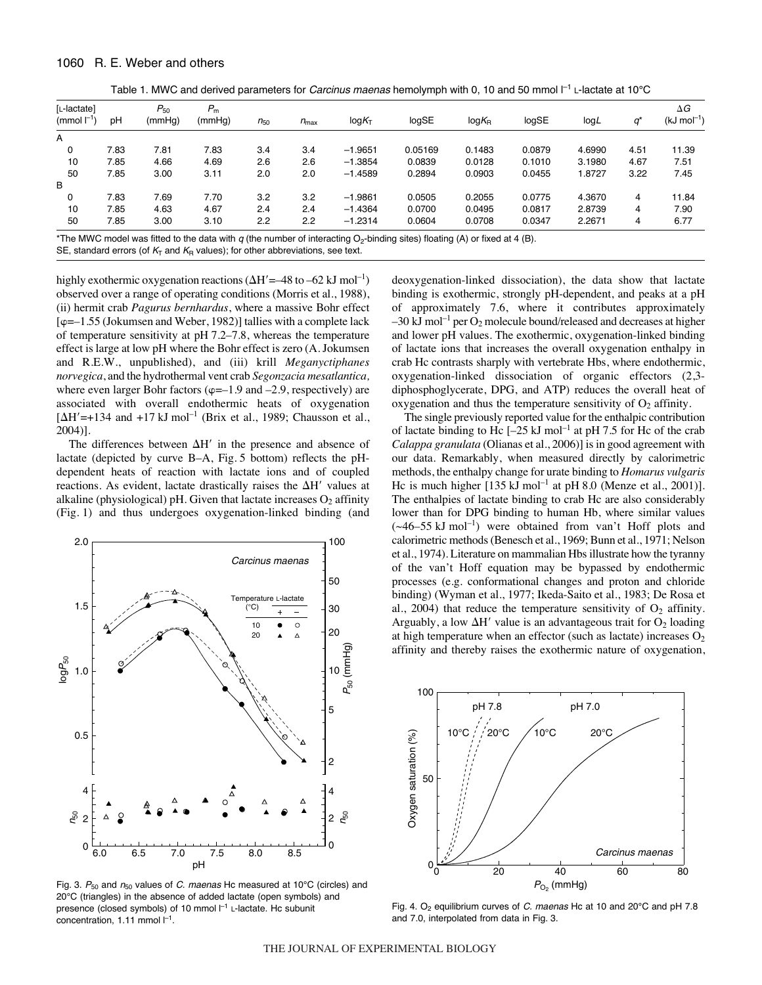|  | Table 1. MWC and derived parameters for Carcinus maenas hemolymph with 0, 10 and 50 mmol $I^{-1}$ L-lactate at 10°C |  |  |  |
|--|---------------------------------------------------------------------------------------------------------------------|--|--|--|
|--|---------------------------------------------------------------------------------------------------------------------|--|--|--|

| [L-lactate]<br>(mmol $\Gamma$ <sup>1</sup> ) | рH   | $P_{50}$<br>(mmHg) | $P_{\rm m}$<br>(mmHg) | $n_{50}$ | $n_{\text{max}}$ | log K <sub>T</sub> | logSE   | $log K_R$ | logSE  | logL   |      | $\Delta G$<br>$(kJ \text{ mol}^{-1})$ |
|----------------------------------------------|------|--------------------|-----------------------|----------|------------------|--------------------|---------|-----------|--------|--------|------|---------------------------------------|
| A                                            |      |                    |                       |          |                  |                    |         |           |        |        |      |                                       |
| 0                                            | 7.83 | 7.81               | 7.83                  | 3.4      | 3.4              | $-1.9651$          | 0.05169 | 0.1483    | 0.0879 | 4.6990 | 4.51 | 11.39                                 |
| 10                                           | 7.85 | 4.66               | 4.69                  | 2.6      | 2.6              | $-1.3854$          | 0.0839  | 0.0128    | 0.1010 | 3.1980 | 4.67 | 7.51                                  |
| 50                                           | 7.85 | 3.00               | 3.11                  | 2.0      | 2.0              | $-1.4589$          | 0.2894  | 0.0903    | 0.0455 | .8727  | 3.22 | 7.45                                  |
| В                                            |      |                    |                       |          |                  |                    |         |           |        |        |      |                                       |
| 0                                            | 7.83 | 7.69               | 7.70                  | 3.2      | 3.2              | $-1.9861$          | 0.0505  | 0.2055    | 0.0775 | 4.3670 | 4    | 11.84                                 |
| 10                                           | 7.85 | 4.63               | 4.67                  | 2.4      | 2.4              | $-1.4364$          | 0.0700  | 0.0495    | 0.0817 | 2.8739 | 4    | 7.90                                  |
| 50                                           | 7.85 | 3.00               | 3.10                  | 2.2      | 2.2              | $-1.2314$          | 0.0604  | 0.0708    | 0.0347 | 2.2671 | 4    | 6.77                                  |

\*The MWC model was fitted to the data with q (the number of interacting  $O_2$ -binding sites) floating (A) or fixed at 4 (B).

SE, standard errors (of  $K<sub>T</sub>$  and  $K<sub>R</sub>$  values); for other abbreviations, see text.

highly exothermic oxygenation reactions  $(\Delta H'=-48 \text{ to } -62 \text{ kJ mol}^{-1})$ observed over a range of operating conditions (Morris et al., 1988), (ii) hermit crab *Pagurus bernhardus*, where a massive Bohr effect  $[\varphi=-1.55$  (Jokumsen and Weber, 1982)] tallies with a complete lack of temperature sensitivity at  $pH 7.2–7.8$ , whereas the temperature effect is large at low pH where the Bohr effect is zero (A. Jokumsen and R.E.W., unpublished), and (iii) krill *Meganyctiphanes norvegica*, and the hydrothermal vent crab *Segonzacia mesatlantica,* where even larger Bohr factors ( $\varphi$ =-1.9 and -2.9, respectively) are associated with overall endothermic heats of oxygenation  $[\Delta H' = +134$  and  $+17$  kJ mol<sup>-1</sup> (Brix et al., 1989; Chausson et al., 2004)].

The differences between  $\Delta H'$  in the presence and absence of lactate (depicted by curve B-A, Fig. 5 bottom) reflects the pHdependent heats of reaction with lactate ions and of coupled reactions. As evident, lactate drastically raises the  $\Delta H'$  values at alkaline (physiological) pH. Given that lactate increases  $O_2$  affinity (Fig. 1) and thus undergoes oxygenation-linked binding (and



Fig. 3.  $P_{50}$  and  $n_{50}$  values of C. maenas Hc measured at 10°C (circles) and 20°C (triangles) in the absence of added lactate (open symbols) and presence (closed symbols) of 10 mmol  $I^{-1}$  L-lactate. Hc subunit concentration, 1.11 mmol  $l^{-1}$ .

deoxygenation-linked dissociation), the data show that lactate binding is exothermic, strongly pH-dependent, and peaks at a pH of approximately 7.6, where it contributes approximately  $-30$  kJ mol<sup>-1</sup> per O<sub>2</sub> molecule bound/released and decreases at higher and lower pH values. The exothermic, oxygenation-linked binding of lactate ions that increases the overall oxygenation enthalpy in crab Hc contrasts sharply with vertebrate Hbs, where endothermic, oxygenation-linked dissociation of organic effectors (2,3 diphosphoglycerate, DPG, and ATP) reduces the overall heat of oxygenation and thus the temperature sensitivity of  $O_2$  affinity.

The single previously reported value for the enthalpic contribution of lactate binding to Hc  $[-25 \text{ kJ mol}^{-1}]$  at pH 7.5 for Hc of the crab *Calappa granulata* (Olianas et al., 2006)] is in good agreement with our data. Remarkably, when measured directly by calorimetric methods, the enthalpy change for urate binding to *Homarus vulgaris* Hc is much higher  $[135 \text{ kJ mol}^{-1}$  at pH 8.0 (Menze et al., 2001)]. The enthalpies of lactate binding to crab Hc are also considerably lower than for DPG binding to human Hb, where similar values  $(\sim46-55 \text{ kJ mol}^{-1})$  were obtained from van't Hoff plots and calorimetric methods (Benesch et al., 1969; Bunn et al., 1971; Nelson et al., 1974). Literature on mammalian Hbs illustrate how the tyranny of the van't Hoff equation may be bypassed by endothermic processes (e.g. conformational changes and proton and chloride binding) (Wyman et al., 1977; Ikeda-Saito et al., 1983; De Rosa et al., 2004) that reduce the temperature sensitivity of  $O_2$  affinity. Arguably, a low  $\Delta H'$  value is an advantageous trait for  $O_2$  loading at high temperature when an effector (such as lactate) increases  $O_2$ affinity and thereby raises the exothermic nature of oxygenation,



Fig. 4. O<sub>2</sub> equilibrium curves of C. maenas Hc at 10 and 20 $^{\circ}$ C and pH 7.8 and 7.0, interpolated from data in Fig. 3.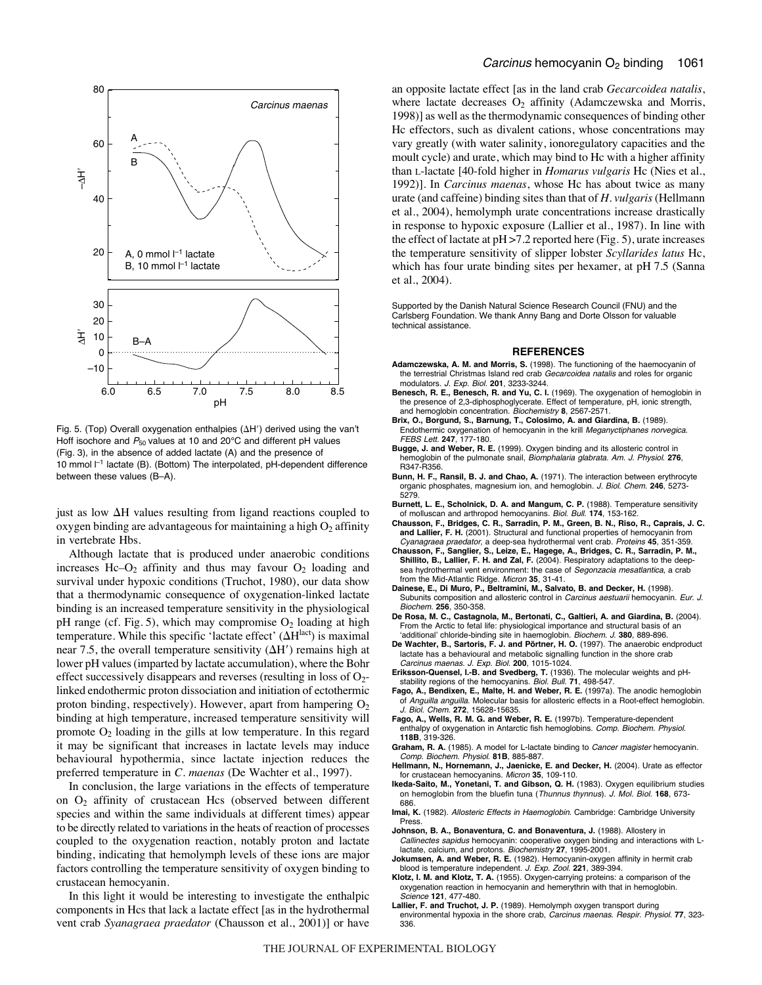

Fig. 5. (Top) Overall oxygenation enthalpies ( $\Delta H'$ ) derived using the van't Hoff isochore and  $P_{50}$  values at 10 and 20°C and different pH values (Fig. 3), in the absence of added lactate (A) and the presence of 10 mmol  $I^{-1}$  lactate (B). (Bottom) The interpolated, pH-dependent difference between these values (B–A).

just as low  $\Delta H$  values resulting from ligand reactions coupled to oxygen binding are advantageous for maintaining a high  $O_2$  affinity in vertebrate Hbs.

Although lactate that is produced under anaerobic conditions increases Hc– $O_2$  affinity and thus may favour  $O_2$  loading and survival under hypoxic conditions (Truchot, 1980), our data show that a thermodynamic consequence of oxygenation-linked lactate binding is an increased temperature sensitivity in the physiological pH range (cf. Fig. 5), which may compromise  $O_2$  loading at high temperature. While this specific 'lactate effect'  $(\Delta H^{\text{lact}})$  is maximal near 7.5, the overall temperature sensitivity  $(\Delta H')$  remains high at lower pH values (imparted by lactate accumulation), where the Bohr effect successively disappears and reverses (resulting in loss of  $O<sub>2</sub>$ linked endothermic proton dissociation and initiation of ectothermic proton binding, respectively). However, apart from hampering  $O<sub>2</sub>$ binding at high temperature, increased temperature sensitivity will promote  $O_2$  loading in the gills at low temperature. In this regard it may be significant that increases in lactate levels may induce behavioural hypothermia, since lactate injection reduces the preferred temperature in *C. maenas* (De Wachter et al., 1997).

In conclusion, the large variations in the effects of temperature on  $O_2$  affinity of crustacean Hcs (observed between different species and within the same individuals at different times) appear to be directly related to variations in the heats of reaction of processes coupled to the oxygenation reaction, notably proton and lactate binding, indicating that hemolymph levels of these ions are major factors controlling the temperature sensitivity of oxygen binding to crustacean hemocyanin.

In this light it would be interesting to investigate the enthalpic components in Hcs that lack a lactate effect [as in the hydrothermal vent crab *Syanagraea praedator* (Chausson et al., 2001)] or have an opposite lactate effect [as in the land crab *Gecarcoidea natalis*, where lactate decreases  $O_2$  affinity (Adamczewska and Morris, 1998)] as well as the thermodynamic consequences of binding other Hc effectors, such as divalent cations, whose concentrations may vary greatly (with water salinity, ionoregulatory capacities and the moult cycle) and urate, which may bind to Hc with a higher affinity than L-lactate [40-fold higher in *Homarus vulgaris* Hc (Nies et al., 1992)]. In *Carcinus maenas*, whose Hc has about twice as many urate (and caffeine) binding sites than that of *H. vulgaris* (Hellmann et al., 2004), hemolymph urate concentrations increase drastically in response to hypoxic exposure (Lallier et al., 1987). In line with the effect of lactate at  $pH > 7.2$  reported here (Fig. 5), urate increases the temperature sensitivity of slipper lobster *Scyllarides latus* Hc, which has four urate binding sites per hexamer, at pH 7.5 (Sanna et al., 2004).

Supported by the Danish Natural Science Research Council (FNU) and the Carlsberg Foundation. We thank Anny Bang and Dorte Olsson for valuable technical assistance.

#### **REFERENCES**

- **Adamczewska, A. M. and Morris, S.** (1998). The functioning of the haemocyanin of the terrestrial Christmas Island red crab Gecarcoidea natalis and roles for organic modulators. J. Exp. Biol. **201**, 3233-3244.
- **Benesch, R. E., Benesch, R. and Yu, C. I.** (1969). The oxygenation of hemoglobin in the presence of 2,3-diphosphoglycerate. Effect of temperature, pH, ionic strength, and hemoglobin concentration. Biochemistry **8**, 2567-2571.
- **Brix, O., Borgund, S., Barnung, T., Colosimo, A. and Giardina, B.** (1989). Endothermic oxygenation of hemocyanin in the krill Meganyctiphanes norvegica. FEBS Lett. **247**, 177-180.
- **Bugge, J. and Weber, R. E.** (1999). Oxygen binding and its allosteric control in hemoglobin of the pulmonate snail, Biomphalaria glabrata. Am. J. Physiol. **276**, R347-R356.
- **Bunn, H. F., Ransil, B. J. and Chao, A.** (1971). The interaction between erythrocyte organic phosphates, magnesium ion, and hemoglobin. J. Biol. Chem. **246**, 5273- 5279.
- **Burnett, L. E., Scholnick, D. A. and Mangum, C. P.** (1988). Temperature sensitivity
- of molluscan and arthropod hemocyanins. Biol. Bull. **174**, 153-162. **Chausson, F., Bridges, C. R., Sarradin, P. M., Green, B. N., Riso, R., Caprais, J. C. and Lallier, F. H.** (2001). Structural and functional properties of hemocyanin from Cyanagraea praedator, a deep-sea hydrothermal vent crab. Proteins **45**, 351-359.
- **Chausson, F., Sanglier, S., Leize, E., Hagege, A., Bridges, C. R., Sarradin, P. M., Shillito, B., Lallier, F. H. and Zal, F.** (2004). Respiratory adaptations to the deepsea hydrothermal vent environment: the case of Segonzacia mesatlantica, a crab from the Mid-Atlantic Ridge. Micron **35**, 31-41.
- **Dainese, E., Di Muro, P., Beltramini, M., Salvato, B. and Decker, H.** (1998). Subunits composition and allosteric control in Carcinus aestuarii hemocyanin. Eur. J. Biochem. **256**, 350-358.
- **De Rosa, M. C., Castagnola, M., Bertonati, C., Galtieri, A. and Giardina, B.** (2004). From the Arctic to fetal life: physiological importance and structural basis of an ʻadditional' chloride-binding site in haemoglobin. Biochem. J. **380**, 889-896.
- **De Wachter, B., Sartoris, F. J. and Pörtner, H. O.** (1997). The anaerobic endproduct lactate has a behavioural and metabolic signalling function in the shore crab Carcinus maenas. J. Exp. Biol. **200**, 1015-1024.
- **Eriksson-Quensel, I.-B. and Svedberg, T.** (1936). The molecular weights and pHstability regions of the hemocyanins. Biol. Bull. **71**, 498-547.
- **Fago, A., Bendixen, E., Malte, H. and Weber, R. E.** (1997a). The anodic hemoglobin of Anguilla anguilla. Molecular basis for allosteric effects in a Root-effect hemoglobin. J. Biol. Chem. **272**, 15628-15635.
- **Fago, A., Wells, R. M. G. and Weber, R. E.** (1997b). Temperature-dependent enthalpy of oxygenation in Antarctic fish hemoglobins. Comp. Biochem. Physiol. **118B**, 319-326.
- Graham, R. A. (1985). A model for L-lactate binding to *Cancer magister* hemocyanin. Comp. Biochem. Physiol. **81B**, 885-887.
- **Hellmann, N., Hornemann, J., Jaenicke, E. and Decker, H.** (2004). Urate as effector for crustacean hemocyanins. Micron **35**, 109-110.
- **Ikeda-Saito, M., Yonetani, T. and Gibson, Q. H.** (1983). Oxygen equilibrium studies on hemoglobin from the bluefin tuna (Thunnus thynnus). J. Mol. Biol. **168**, 673- 686.
- **Imai, K.** (1982). Allosteric Effects in Haemoglobin. Cambridge: Cambridge University Press.
- **Johnson, B. A., Bonaventura, C. and Bonaventura, J.** (1988). Allostery in Callinectes sapidus hemocyanin: cooperative oxygen binding and interactions with Llactate, calcium, and protons. Biochemistry **27**, 1995-2001.
- **Jokumsen, A. and Weber, R. E.** (1982). Hemocyanin-oxygen affinity in hermit crab blood is temperature independent. J. Exp. Zool. **221**, 389-394.
- **Klotz, I. M. and Klotz, T. A.** (1955). Oxygen-carrying proteins: a comparison of the oxygenation reaction in hemocyanin and hemerythrin with that in hemoglobin. Science **121**, 477-480.
- **Lallier, F. and Truchot, J. P.** (1989). Hemolymph oxygen transport during environmental hypoxia in the shore crab, Carcinus maenas. Respir. Physiol. **77**, 323- 336.